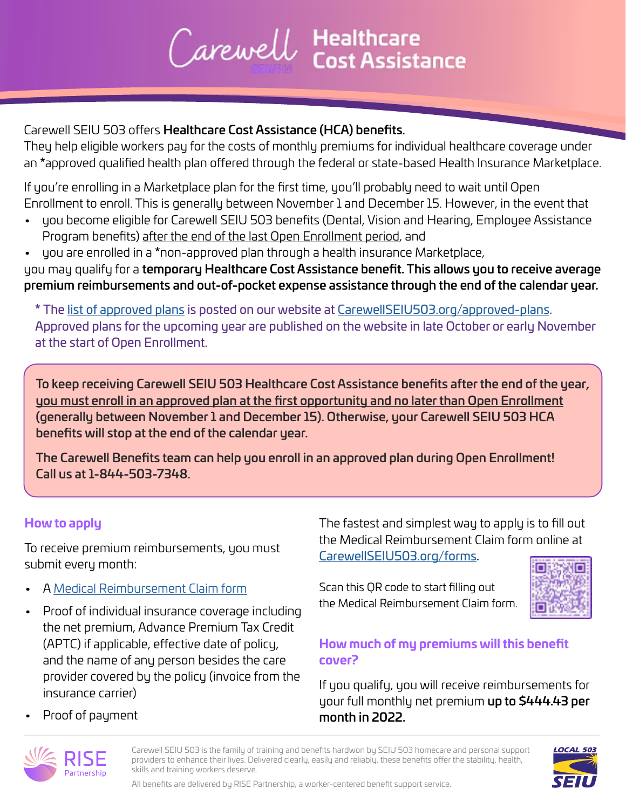# Carewell Healthcare

## Carewell SEIU 503 offers Healthcare Cost Assistance (HCA) benefits.

They help eligible workers pay for the costs of monthly premiums for individual healthcare coverage under an \*approved qualified health plan offered through the federal or state-based Health Insurance Marketplace.

If you're enrolling in a Marketplace plan for the first time, you'll probably need to wait until Open Enrollment to enroll. This is generally between November 1 and December 15. However, in the event that

- you become eligible for Carewell SEIU 503 benefits (Dental, Vision and Hearing, Employee Assistance Program benefits) after the end of the last Open Enrollment period, and
- you are enrolled in a \*non-approved plan through a health insurance Marketplace,

you may qualify for a temporary Healthcare Cost Assistance benefit. This allows you to receive average premium reimbursements and out-of-pocket expense assistance through the end of the calendar year.

**\*** The [list of approved plans](https://www.carewellseiu503.org/wp-content/uploads/securepdfs/all-2022-plans.pdf) is posted on our website at [CarewellSEIU503.org/approved-plans.](http://CarewellSEIU503.org/approved-plans) Approved plans for the upcoming year are published on the website in late October or early November at the start of Open Enrollment.

To keep receiving Carewell SEIU 503 Healthcare Cost Assistance benefits after the end of the year, you must enroll in an approved plan at the first opportunity and no later than Open Enrollment (generally between November 1 and December 15). Otherwise, your Carewell SEIU 503 HCA benefits will stop at the end of the calendar year.

The Carewell Benefits team can help you enroll in an approved plan during Open Enrollment! Call us at 1-844-503-7348.

### **How to apply**

To receive premium reimbursements, you must submit every month:

- A [Medical Reimbursement Claim form](https://risepartnership.jotform.com/212288173993062)
- Proof of individual insurance coverage including the net premium, Advance Premium Tax Credit (APTC) if applicable, effective date of policy, and the name of any person besides the care provider covered by the policy (invoice from the insurance carrier)

The fastest and simplest way to apply is to fill out the Medical Reimbursement Claim form online at [CarewellSEIU503.org/forms](http://CarewellSEIU503.org/forms).

Scan this QR code to start filling out the Medical Reimbursement Claim form.



## **How much of my premiums will this benefit cover?**

If you qualify, you will receive reimbursements for your full monthly net premium up to \$444.43 per month in 2022.

• Proof of payment



Carewell SEIU 503 is the family of training and benefits hardwon by SEIU 503 homecare and personal support providers to enhance their lives. Delivered clearly, easily and reliably, these benefits offer the stability, health, skills and training workers deserve.